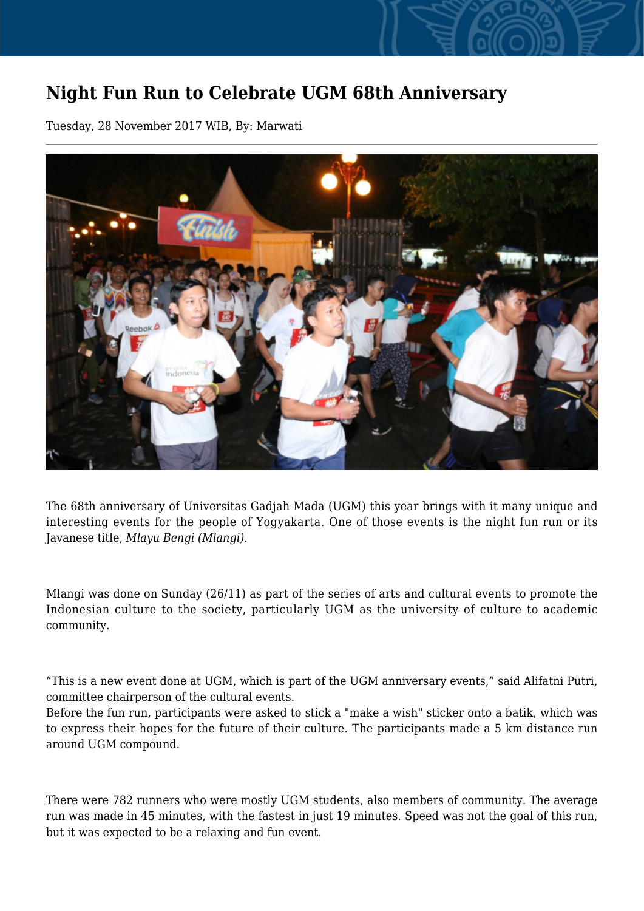## **Night Fun Run to Celebrate UGM 68th Anniversary**

Tuesday, 28 November 2017 WIB, By: Marwati



The 68th anniversary of Universitas Gadjah Mada (UGM) this year brings with it many unique and interesting events for the people of Yogyakarta. One of those events is the night fun run or its Javanese title, *Mlayu Bengi (Mlangi)*.

Mlangi was done on Sunday (26/11) as part of the series of arts and cultural events to promote the Indonesian culture to the society, particularly UGM as the university of culture to academic community.

"This is a new event done at UGM, which is part of the UGM anniversary events," said Alifatni Putri, committee chairperson of the cultural events.

Before the fun run, participants were asked to stick a "make a wish" sticker onto a batik, which was to express their hopes for the future of their culture. The participants made a 5 km distance run around UGM compound.

There were 782 runners who were mostly UGM students, also members of community. The average run was made in 45 minutes, with the fastest in just 19 minutes. Speed was not the goal of this run, but it was expected to be a relaxing and fun event.